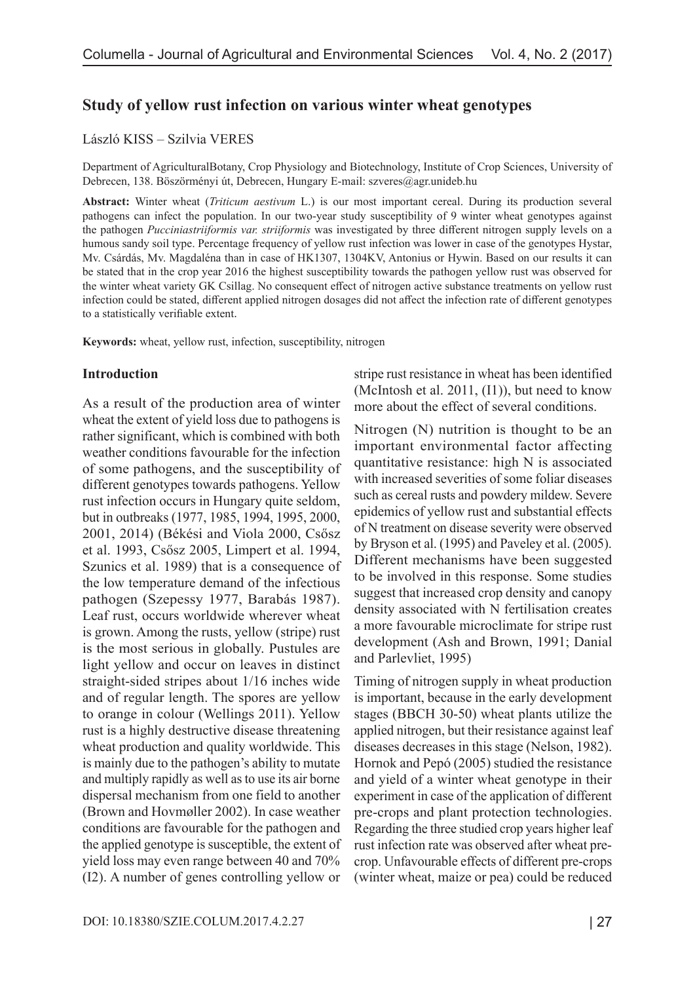#### **Study of yellow rust infection on various winter wheat genotypes**

#### László KISS – Szilvia VERES

Department of AgriculturalBotany, Crop Physiology and Biotechnology, Institute of Crop Sciences, University of Debrecen, 138. Böszörményi út, Debrecen, Hungary E-mail: szveres@agr.unideb.hu

**Abstract:** Winter wheat (*Triticum aestivum* L.) is our most important cereal. During its production several pathogens can infect the population. In our two-year study susceptibility of 9 winter wheat genotypes against the pathogen *Pucciniastriiformis var. striiformis* was investigated by three different nitrogen supply levels on a humous sandy soil type. Percentage frequency of yellow rust infection was lower in case of the genotypes Hystar, Mv. Csárdás, Mv. Magdaléna than in case of HK1307, 1304KV, Antonius or Hywin. Based on our results it can be stated that in the crop year 2016 the highest susceptibility towards the pathogen yellow rust was observed for the winter wheat variety GK Csillag. No consequent effect of nitrogen active substance treatments on yellow rust infection could be stated, different applied nitrogen dosages did not affect the infection rate of different genotypes to a statistically verifiable extent.

**Keywords:** wheat, yellow rust, infection, susceptibility, nitrogen

#### **Introduction**

As a result of the production area of winter wheat the extent of yield loss due to pathogens is rather significant, which is combined with both weather conditions favourable for the infection of some pathogens, and the susceptibility of different genotypes towards pathogens. Yellow rust infection occurs in Hungary quite seldom, but in outbreaks (1977, 1985, 1994, 1995, 2000, 2001, 2014) (Békési and Viola 2000, Csősz et al. 1993, Csősz 2005, Limpert et al. 1994, Szunics et al. 1989) that is a consequence of the low temperature demand of the infectious pathogen (Szepessy 1977, Barabás 1987). Leaf rust, occurs worldwide wherever wheat is grown. Among the rusts, yellow (stripe) rust is the most serious in globally. Pustules are light yellow and occur on leaves in distinct straight-sided stripes about 1/16 inches wide and of regular length. The spores are yellow to orange in colour (Wellings 2011). Yellow rust is a highly destructive disease threatening wheat production and quality worldwide. This is mainly due to the pathogen's ability to mutate and multiply rapidly as well as to use its air borne dispersal mechanism from one field to another (Brown and Hovmøller 2002). In case weather conditions are favourable for the pathogen and the applied genotype is susceptible, the extent of yield loss may even range between 40 and 70% (I2). A number of genes controlling yellow or stripe rust resistance in wheat has been identified (McIntosh et al. 2011, (I1)), but need to know more about the effect of several conditions.

Nitrogen (N) nutrition is thought to be an important environmental factor affecting quantitative resistance: high N is associated with increased severities of some foliar diseases such as cereal rusts and powdery mildew. Severe epidemics of yellow rust and substantial effects of N treatment on disease severity were observed by Bryson et al. (1995) and Paveley et al. (2005). Different mechanisms have been suggested to be involved in this response. Some studies suggest that increased crop density and canopy density associated with N fertilisation creates a more favourable microclimate for stripe rust development (Ash and Brown, 1991; Danial and Parlevliet, 1995)

Timing of nitrogen supply in wheat production is important, because in the early development stages (BBCH 30-50) wheat plants utilize the applied nitrogen, but their resistance against leaf diseases decreases in this stage (Nelson, 1982). Hornok and Pepó (2005) studied the resistance and yield of a winter wheat genotype in their experiment in case of the application of different pre-crops and plant protection technologies. Regarding the three studied crop years higher leaf rust infection rate was observed after wheat precrop. Unfavourable effects of different pre-crops (winter wheat, maize or pea) could be reduced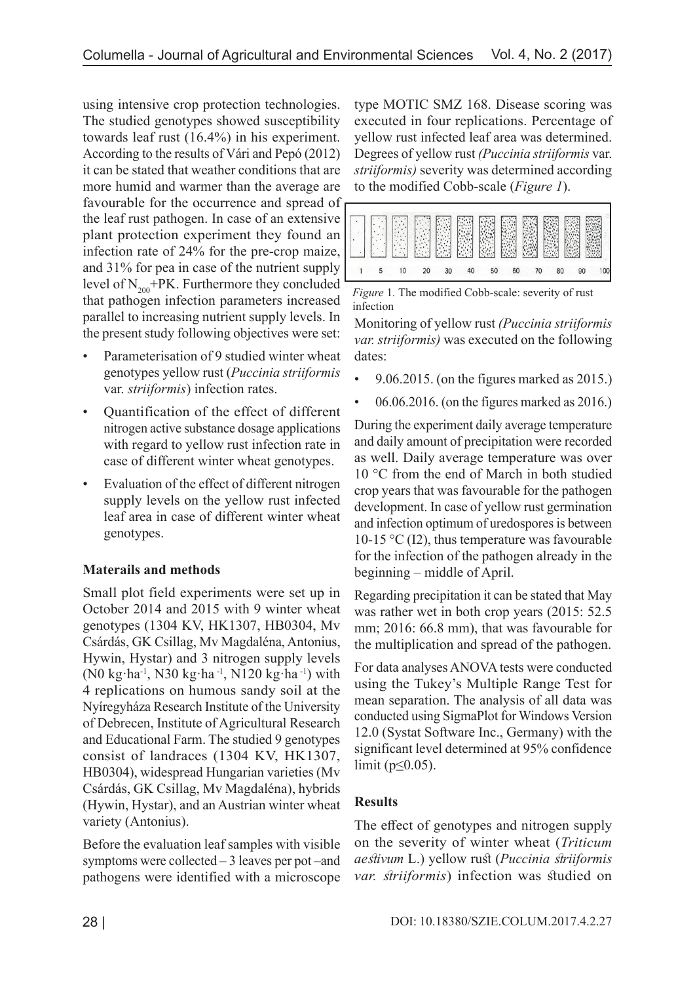using intensive crop protection technologies. The studied genotypes showed susceptibility towards leaf rust (16.4%) in his experiment. According to the results of Vári and Pepó (2012) it can be stated that weather conditions that are more humid and warmer than the average are favourable for the occurrence and spread of the leaf rust pathogen. In case of an extensive plant protection experiment they found an infection rate of 24% for the pre-crop maize, and 31% for pea in case of the nutrient supply level of  $N_{200}$ +PK. Furthermore they concluded that pathogen infection parameters increased parallel to increasing nutrient supply levels. In the present study following objectives were set:

- Parameterisation of 9 studied winter wheat genotypes yellow rust (*Puccinia striiformis*  var. *striiformis*) infection rates.
- Quantification of the effect of different nitrogen active substance dosage applications with regard to yellow rust infection rate in case of different winter wheat genotypes.
- Evaluation of the effect of different nitrogen supply levels on the yellow rust infected leaf area in case of different winter wheat genotypes.

# **Materails and methods**

Small plot field experiments were set up in October 2014 and 2015 with 9 winter wheat genotypes (1304 KV, HK1307, HB0304, Mv Csárdás, GK Csillag, Mv Magdaléna, Antonius, Hywin, Hystar) and 3 nitrogen supply levels (N0 kg·ha-1, N30 kg·ha -1, N120 kg·ha -1) with 4 replications on humous sandy soil at the Nyíregyháza Research Institute of the University of Debrecen, Institute of Agricultural Research and Educational Farm. The studied 9 genotypes consist of landraces (1304 KV, HK1307, HB0304), widespread Hungarian varieties (Mv Csárdás, GK Csillag, Mv Magdaléna), hybrids (Hywin, Hystar), and an Austrian winter wheat variety (Antonius).

Before the evaluation leaf samples with visible symptoms were collected – 3 leaves per pot –and pathogens were identified with a microscope type MOTIC SMZ 168. Disease scoring was executed in four replications. Percentage of yellow rust infected leaf area was determined. Degrees of yellow rust *(Puccinia striiformis* var. *striiformis)* severity was determined according to the modified Cobb-scale (*Figure 1*).



*Figure* 1*.* The modified Cobb-scale: severity of rust infection

Monitoring of yellow rust *(Puccinia striiformis var. striiformis)* was executed on the following dates:

- $\cdot$  9.06.2015. (on the figures marked as 2015.)
- 06.06.2016. (on the figures marked as 2016.)

During the experiment daily average temperature and daily amount of precipitation were recorded as well. Daily average temperature was over 10 °C from the end of March in both studied crop years that was favourable for the pathogen development. In case of yellow rust germination and infection optimum of uredospores is between 10-15 °C (I2), thus temperature was favourable for the infection of the pathogen already in the beginning – middle of April.

Regarding precipitation it can be stated that May was rather wet in both crop years (2015: 52.5 mm; 2016: 66.8 mm), that was favourable for the multiplication and spread of the pathogen.

For data analyses ANOVA tests were conducted using the Tukey's Multiple Range Test for mean separation. The analysis of all data was conducted using SigmaPlot for Windows Version 12.0 (Systat Software Inc., Germany) with the significant level determined at 95% confidence limit ( $p \leq 0.05$ ).

# **Results**

The effect of genotypes and nitrogen supply on the severity of winter wheat (*Triticum aestivum* L.) yellow rust (*Puccinia striiformis var. striiformis*) infection was studied on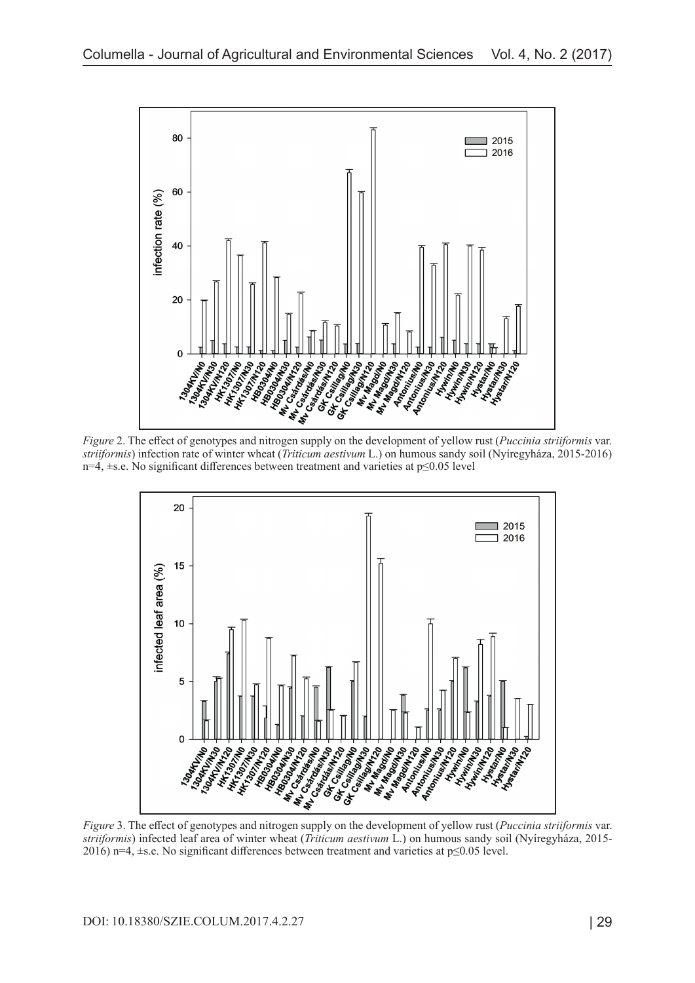

*Figure* 2. The effect of genotypes and nitrogen supply on the development of yellow rust (*Puccinia striiformis* var. *striiformis*) infection rate of winter wheat (*Triticum aestivum* L.) on humous sandy soil (Nyíregyháza, 2015-2016) n=4, ±s.e. No significant differences between treatment and varieties at p≤0.05 level



*Figure* 3. The effect of genotypes and nitrogen supply on the development of yellow rust (*Puccinia striiformis* var. *striiformis*) infected leaf area of winter wheat (*Triticum aestivum* L.) on humous sandy soil (Nyíregyháza, 2015- 2016) n=4, ±s.e. No significant differences between treatment and varieties at p≤0.05 level.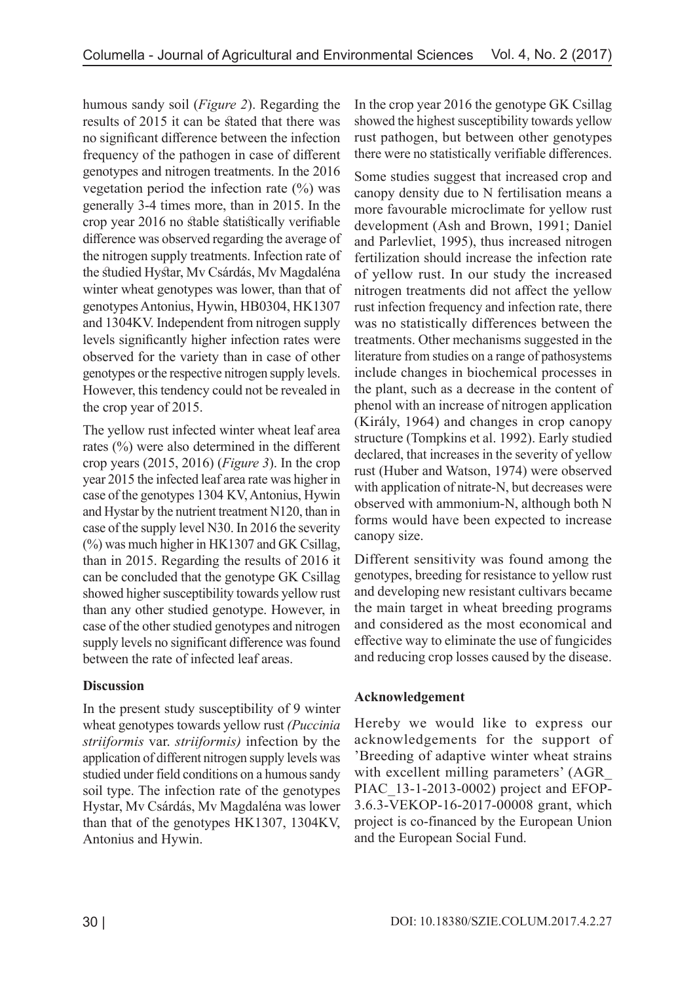humous sandy soil (*Figure 2*). Regarding the results of 2015 it can be stated that there was no significant difference between the infection frequency of the pathogen in case of different genotypes and nitrogen treatments. In the 2016 vegetation period the infection rate  $(\%)$  was generally 3-4 times more, than in 2015. In the crop year 2016 no stable statistically verifiable difference was observed regarding the average of the nitrogen supply treatments. Infection rate of the studied Hystar, Mv Csárdás, Mv Magdaléna winter wheat genotypes was lower, than that of genotypes Antonius, Hywin, HB0304, HK1307 and 1304KV. Independent from nitrogen supply levels significantly higher infection rates were observed for the variety than in case of other genotypes or the respective nitrogen supply levels. However, this tendency could not be revealed in the crop year of 2015.

The yellow rust infected winter wheat leaf area rates (%) were also determined in the different crop years (2015, 2016) (*Figure 3*). In the crop year 2015 the infected leaf area rate was higher in case of the genotypes 1304 KV, Antonius, Hywin and Hystar by the nutrient treatment N120, than in case of the supply level N30. In 2016 the severity (%) was much higher in HK1307 and GK Csillag, than in 2015. Regarding the results of 2016 it can be concluded that the genotype GK Csillag showed higher susceptibility towards yellow rust than any other studied genotype. However, in case of the other studied genotypes and nitrogen supply levels no significant difference was found between the rate of infected leaf areas.

# **Discussion**

In the present study susceptibility of 9 winter wheat genotypes towards yellow rust *(Puccinia striiformis* var. *striiformis)* infection by the application of different nitrogen supply levels was studied under field conditions on a humous sandy soil type. The infection rate of the genotypes Hystar, Mv Csárdás, Mv Magdaléna was lower than that of the genotypes HK1307, 1304KV, Antonius and Hywin.

In the crop year 2016 the genotype GK Csillag showed the highest susceptibility towards yellow rust pathogen, but between other genotypes there were no statistically verifiable differences.

Some studies suggest that increased crop and canopy density due to N fertilisation means a more favourable microclimate for yellow rust development (Ash and Brown, 1991; Daniel and Parlevliet, 1995), thus increased nitrogen fertilization should increase the infection rate of yellow rust. In our study the increased nitrogen treatments did not affect the yellow rust infection frequency and infection rate, there was no statistically differences between the treatments. Other mechanisms suggested in the literature from studies on a range of pathosystems include changes in biochemical processes in the plant, such as a decrease in the content of phenol with an increase of nitrogen application (Király, 1964) and changes in crop canopy structure (Tompkins et al. 1992). Early studied declared, that increases in the severity of yellow rust (Huber and Watson, 1974) were observed with application of nitrate-N, but decreases were observed with ammonium-N, although both N forms would have been expected to increase canopy size.

Different sensitivity was found among the genotypes, breeding for resistance to yellow rust and developing new resistant cultivars became the main target in wheat breeding programs and considered as the most economical and effective way to eliminate the use of fungicides and reducing crop losses caused by the disease.

# **Acknowledgement**

Hereby we would like to express our acknowledgements for the support of 'Breeding of adaptive winter wheat strains with excellent milling parameters' (AGR\_ PIAC\_13-1-2013-0002) project and EFOP-3.6.3-VEKOP-16-2017-00008 grant, which project is co-financed by the European Union and the European Social Fund.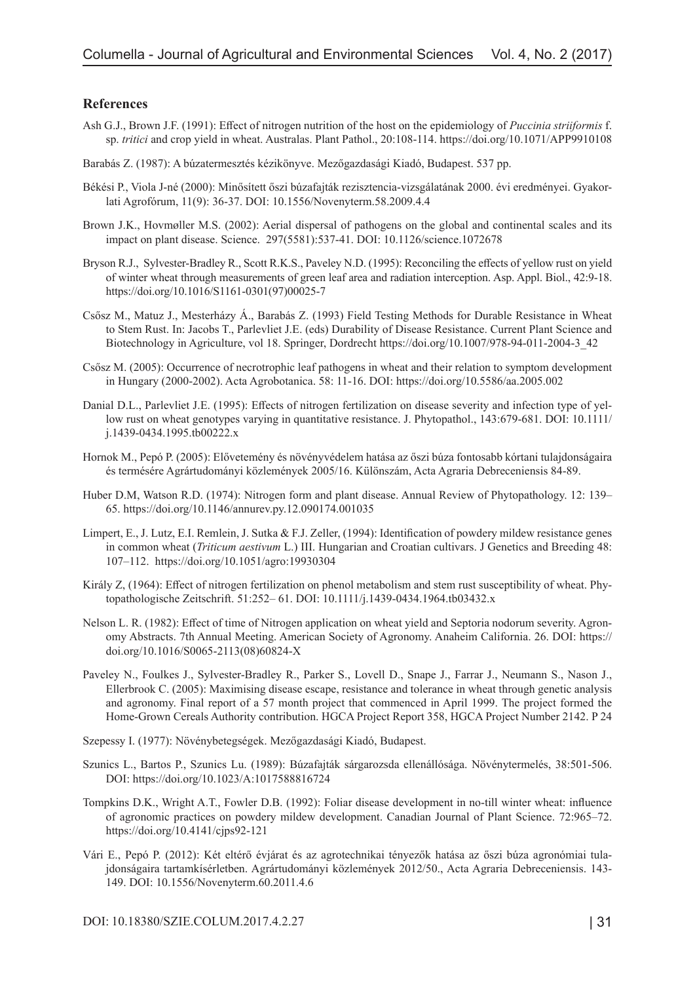#### **References**

- Ash G.J., Brown J.F. (1991): Effect of nitrogen nutrition of the host on the epidemiology of *Puccinia striiformis* f. sp. *tritici* and crop yield in wheat. Australas. Plant Pathol., 20:108-114. https://doi.org/10.1071/APP9910108
- Barabás Z. (1987): A búzatermesztés kézikönyve. Mezőgazdasági Kiadó, Budapest. 537 pp.
- Békési P., Viola J-né (2000): Minősített őszi búzafajták rezisztencia-vizsgálatának 2000. évi eredményei. Gyakorlati Agrofórum, 11(9): 36-37. DOI: 10.1556/Novenyterm.58.2009.4.4
- Brown J.K., Hovmøller M.S. (2002): Aerial dispersal of pathogens on the global and continental scales and its impact on plant disease. Science. 297(5581):537-41. DOI: 10.1126/science.1072678
- Bryson R.J., Sylvester-Bradley R., Scott R.K.S., Paveley N.D. (1995): Reconciling the effects of yellow rust on yield of winter wheat through measurements of green leaf area and radiation interception. Asp. Appl. Biol., 42:9-18. https://doi.org/10.1016/S1161-0301(97)00025-7
- Csősz M., Matuz J., Mesterházy Á., Barabás Z. (1993) Field Testing Methods for Durable Resistance in Wheat to Stem Rust. In: Jacobs T., Parlevliet J.E. (eds) Durability of Disease Resistance. Current Plant Science and Biotechnology in Agriculture, vol 18. Springer, Dordrecht https://doi.org/10.1007/978-94-011-2004-3\_42
- Csősz M. (2005): Occurrence of necrotrophic leaf pathogens in wheat and their relation to symptom development in Hungary (2000-2002). Acta Agrobotanica. 58: 11-16. DOI:<https://doi.org/10.5586/aa.2005.002>
- Danial D.L., Parlevliet J.E. (1995): Effects of nitrogen fertilization on disease severity and infection type of yellow rust on wheat genotypes varying in quantitative resistance. J. Phytopathol., 143:679-681. DOI: 10.1111/ j.1439-0434.1995.tb00222.x
- Hornok M., Pepó P. (2005): Elővetemény és növényvédelem hatása az őszi búza fontosabb kórtani tulajdonságaira és termésére Agrártudományi közlemények 2005/16. Különszám, Acta Agraria Debreceniensis 84-89.
- Huber D.M, Watson R.D. (1974): Nitrogen form and plant disease. Annual Review of Phytopathology. 12: 139– 65. https://doi.org/10.1146/annurev.py.12.090174.001035
- Limpert, E., J. Lutz, E.I. Remlein, J. Sutka & F.J. Zeller, (1994): Identification of powdery mildew resistance genes in common wheat (*Triticum aestivum* L.) III. Hungarian and Croatian cultivars. J Genetics and Breeding 48: 107–112. https://doi.org/10.1051/agro:19930304
- Király Z, (1964): Effect of nitrogen fertilization on phenol metabolism and stem rust susceptibility of wheat. Phytopathologische Zeitschrift. 51:252– 61. DOI: 10.1111/j.1439-0434.1964.tb03432.x
- Nelson L. R. (1982): Effect of time of Nitrogen application on wheat yield and Septoria nodorum severity. Agronomy Abstracts. 7th Annual Meeting. American Society of Agronomy. Anaheim California. 26. DOI: [https://](https://doi.org/10.1016/S0065-2113(08)60824-X) [doi.org/10.1016/S0065-2113\(08\)60824-X](https://doi.org/10.1016/S0065-2113(08)60824-X)
- Paveley N., Foulkes J., Sylvester-Bradley R., Parker S., Lovell D., Snape J., Farrar J., Neumann S., Nason J., Ellerbrook C. (2005): Maximising disease escape, resistance and tolerance in wheat through genetic analysis and agronomy. Final report of a 57 month project that commenced in April 1999. The project formed the Home-Grown Cereals Authority contribution. HGCA Project Report 358, HGCA Project Number 2142. P 24
- Szepessy I. (1977): Növénybetegségek. Mezőgazdasági Kiadó, Budapest.
- Szunics L., Bartos P., Szunics Lu. (1989): Búzafajták sárgarozsda ellenállósága. Növénytermelés, 38:501-506. DOI: https://doi.org/10.1023/A:1017588816724
- Tompkins D.K., Wright A.T., Fowler D.B. (1992): Foliar disease development in no-till winter wheat: influence of agronomic practices on powdery mildew development. Canadian Journal of Plant Science. 72:965–72. https://doi.org/10.4141/cjps92-121
- Vári E., Pepó P. (2012): Két eltérő évjárat és az agrotechnikai tényezők hatása az őszi búza agronómiai tulajdonságaira tartamkísérletben. Agrártudományi közlemények 2012/50., Acta Agraria Debreceniensis. 143- 149. DOI: 10.1556/Novenyterm.60.2011.4.6